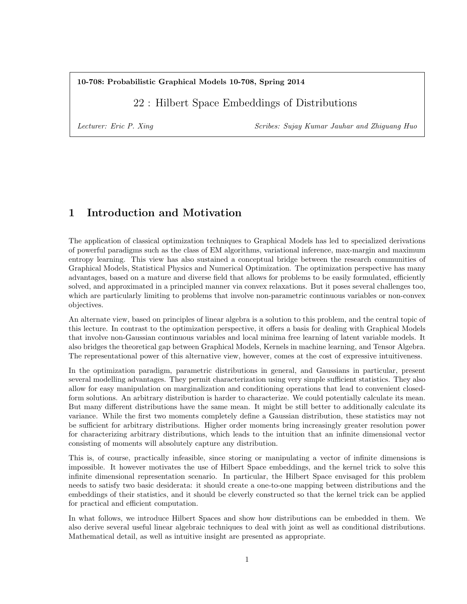### 10-708: Probabilistic Graphical Models 10-708, Spring 2014

## 22 : Hilbert Space Embeddings of Distributions

Lecturer: Eric P. Xing Scribes: Sujay Kumar Jauhar and Zhiguang Huo

# 1 Introduction and Motivation

The application of classical optimization techniques to Graphical Models has led to specialized derivations of powerful paradigms such as the class of EM algorithms, variational inference, max-margin and maximum entropy learning. This view has also sustained a conceptual bridge between the research communities of Graphical Models, Statistical Physics and Numerical Optimization. The optimization perspective has many advantages, based on a mature and diverse field that allows for problems to be easily formulated, efficiently solved, and approximated in a principled manner via convex relaxations. But it poses several challenges too, which are particularly limiting to problems that involve non-parametric continuous variables or non-convex objectives.

An alternate view, based on principles of linear algebra is a solution to this problem, and the central topic of this lecture. In contrast to the optimization perspective, it offers a basis for dealing with Graphical Models that involve non-Gaussian continuous variables and local minima free learning of latent variable models. It also bridges the theoretical gap between Graphical Models, Kernels in machine learning, and Tensor Algebra. The representational power of this alternative view, however, comes at the cost of expressive intuitiveness.

In the optimization paradigm, parametric distributions in general, and Gaussians in particular, present several modelling advantages. They permit characterization using very simple sufficient statistics. They also allow for easy manipulation on marginalization and conditioning operations that lead to convenient closedform solutions. An arbitrary distribution is harder to characterize. We could potentially calculate its mean. But many different distributions have the same mean. It might be still better to additionally calculate its variance. While the first two moments completely define a Gaussian distribution, these statistics may not be sufficient for arbitrary distributions. Higher order moments bring increasingly greater resolution power for characterizing arbitrary distributions, which leads to the intuition that an infinite dimensional vector consisting of moments will absolutely capture any distribution.

This is, of course, practically infeasible, since storing or manipulating a vector of infinite dimensions is impossible. It however motivates the use of Hilbert Space embeddings, and the kernel trick to solve this infinite dimensional representation scenario. In particular, the Hilbert Space envisaged for this problem needs to satisfy two basic desiderata: it should create a one-to-one mapping between distributions and the embeddings of their statistics, and it should be cleverly constructed so that the kernel trick can be applied for practical and efficient computation.

In what follows, we introduce Hilbert Spaces and show how distributions can be embedded in them. We also derive several useful linear algebraic techniques to deal with joint as well as conditional distributions. Mathematical detail, as well as intuitive insight are presented as appropriate.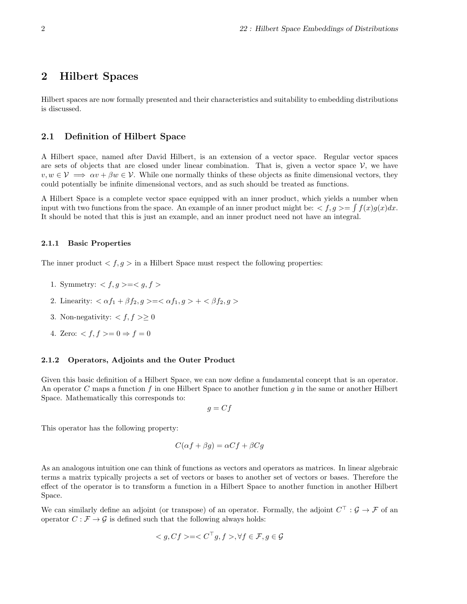## 2 Hilbert Spaces

Hilbert spaces are now formally presented and their characteristics and suitability to embedding distributions is discussed.

### 2.1 Definition of Hilbert Space

A Hilbert space, named after David Hilbert, is an extension of a vector space. Regular vector spaces are sets of objects that are closed under linear combination. That is, given a vector space  $\mathcal{V}$ , we have  $v, w \in V \implies \alpha v + \beta w \in V$ . While one normally thinks of these objects as finite dimensional vectors, they could potentially be infinite dimensional vectors, and as such should be treated as functions.

A Hilbert Space is a complete vector space equipped with an inner product, which yields a number when input with two functions from the space. An example of an inner product might be:  $\langle f, g \rangle = \int f(x)g(x)dx$ . It should be noted that this is just an example, and an inner product need not have an integral.

#### 2.1.1 Basic Properties

The inner product  $\langle f, g \rangle$  in a Hilbert Space must respect the following properties:

- 1. Symmetry:  $\langle f, g \rangle = \langle g, f \rangle$
- 2. Linearity:  $\langle \alpha f_1 + \beta f_2, g \rangle = \langle \alpha f_1, g \rangle + \langle \beta f_2, g \rangle$
- 3. Non-negativity:  $\langle f, f \rangle \geq 0$
- 4. Zero:  $\langle f, f \rangle = 0 \Rightarrow f = 0$

#### 2.1.2 Operators, Adjoints and the Outer Product

Given this basic definition of a Hilbert Space, we can now define a fundamental concept that is an operator. An operator C maps a function f in one Hilbert Space to another function g in the same or another Hilbert Space. Mathematically this corresponds to:

 $g = Cf$ 

This operator has the following property:

$$
C(\alpha f + \beta g) = \alpha Cf + \beta Cg
$$

As an analogous intuition one can think of functions as vectors and operators as matrices. In linear algebraic terms a matrix typically projects a set of vectors or bases to another set of vectors or bases. Therefore the effect of the operator is to transform a function in a Hilbert Space to another function in another Hilbert Space.

We can similarly define an adjoint (or transpose) of an operator. Formally, the adjoint  $C^{\top}$ :  $\mathcal{G} \to \mathcal{F}$  of an operator  $C : \mathcal{F} \to \mathcal{G}$  is defined such that the following always holds:

$$
\langle g, Cf \rangle = \langle C^{\top} g, f \rangle, \forall f \in \mathcal{F}, g \in \mathcal{G}
$$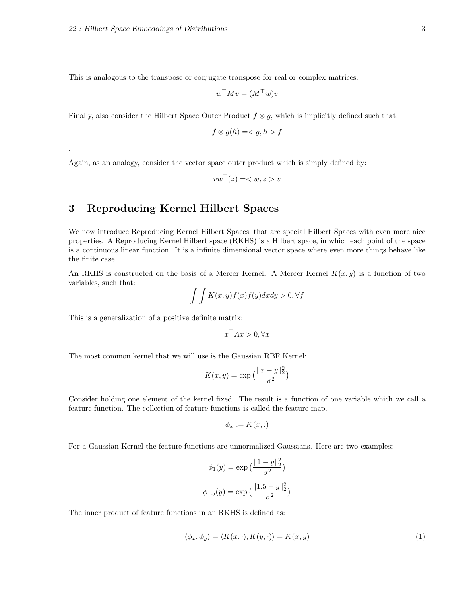.

This is analogous to the transpose or conjugate transpose for real or complex matrices:

$$
w^\top M v = (M^\top w) v
$$

Finally, also consider the Hilbert Space Outer Product  $f \otimes g$ , which is implicitly defined such that:

$$
f \otimes g(h) = \langle g, h \rangle f
$$

Again, as an analogy, consider the vector space outer product which is simply defined by:

$$
vw^\top(z) =  v
$$

## 3 Reproducing Kernel Hilbert Spaces

We now introduce Reproducing Kernel Hilbert Spaces, that are special Hilbert Spaces with even more nice properties. A Reproducing Kernel Hilbert space (RKHS) is a Hilbert space, in which each point of the space is a continuous linear function. It is a infinite dimensional vector space where even more things behave like the finite case.

An RKHS is constructed on the basis of a Mercer Kernel. A Mercer Kernel  $K(x, y)$  is a function of two variables, such that:

$$
\int \int K(x,y)f(x)f(y)dxdy > 0, \forall f
$$

This is a generalization of a positive definite matrix:

$$
x^\top Ax > 0, \forall x
$$

The most common kernel that we will use is the Gaussian RBF Kernel:

$$
K(x, y) = \exp\left(\frac{\|x - y\|_2^2}{\sigma^2}\right)
$$

Consider holding one element of the kernel fixed. The result is a function of one variable which we call a feature function. The collection of feature functions is called the feature map.

$$
\phi_x := K(x,:)
$$

For a Gaussian Kernel the feature functions are unnormalized Gaussians. Here are two examples:

$$
\phi_1(y) = \exp\left(\frac{\|1-y\|_2^2}{\sigma^2}\right)
$$

$$
\phi_{1.5}(y) = \exp\left(\frac{\|1.5 - y\|_2^2}{\sigma^2}\right)
$$

The inner product of feature functions in an RKHS is defined as:

$$
\langle \phi_x, \phi_y \rangle = \langle K(x, \cdot), K(y, \cdot) \rangle = K(x, y) \tag{1}
$$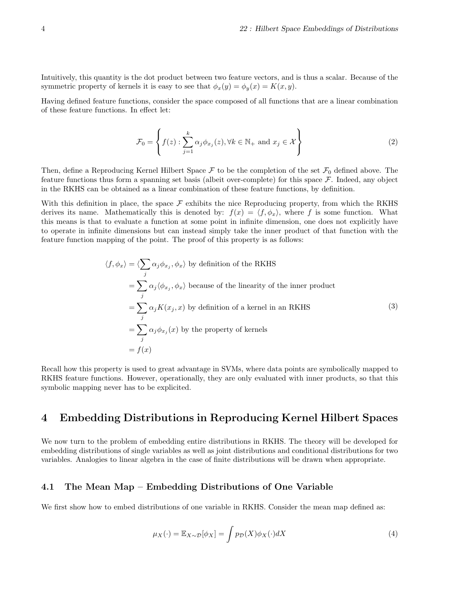Intuitively, this quantity is the dot product between two feature vectors, and is thus a scalar. Because of the symmetric property of kernels it is easy to see that  $\phi_x(y) = \phi_y(x) = K(x, y)$ .

Having defined feature functions, consider the space composed of all functions that are a linear combination of these feature functions. In effect let:

$$
\mathcal{F}_0 = \left\{ f(z) : \sum_{j=1}^k \alpha_j \phi_{x_j}(z), \forall k \in \mathbb{N}_+ \text{ and } x_j \in \mathcal{X} \right\}
$$
 (2)

Then, define a Reproducing Kernel Hilbert Space  $\mathcal F$  to be the completion of the set  $\mathcal F_0$  defined above. The feature functions thus form a spanning set basis (albeit over-complete) for this space F. Indeed, any object in the RKHS can be obtained as a linear combination of these feature functions, by definition.

With this definition in place, the space  $\mathcal F$  exhibits the nice Reproducing property, from which the RKHS derives its name. Mathematically this is denoted by:  $f(x) = \langle f, \phi_x \rangle$ , where f is some function. What this means is that to evaluate a function at some point in infinite dimension, one does not explicitly have to operate in infinite dimensions but can instead simply take the inner product of that function with the feature function mapping of the point. The proof of this property is as follows:

$$
\langle f, \phi_x \rangle = \langle \sum_j \alpha_j \phi_{x_j}, \phi_x \rangle \text{ by definition of the RKHS}
$$
  
=  $\sum_j \alpha_j \langle \phi_{x_j}, \phi_x \rangle$  because of the linearity of the inner product  
=  $\sum_j \alpha_j K(x_j, x)$  by definition of a kernel in an RKHS  
=  $\sum_j \alpha_j \phi_{x_j}(x)$  by the property of kernels  
=  $f(x)$  (3)

Recall how this property is used to great advantage in SVMs, where data points are symbolically mapped to RKHS feature functions. However, operationally, they are only evaluated with inner products, so that this symbolic mapping never has to be explicited.

### 4 Embedding Distributions in Reproducing Kernel Hilbert Spaces

We now turn to the problem of embedding entire distributions in RKHS. The theory will be developed for embedding distributions of single variables as well as joint distributions and conditional distributions for two variables. Analogies to linear algebra in the case of finite distributions will be drawn when appropriate.

### 4.1 The Mean Map – Embedding Distributions of One Variable

We first show how to embed distributions of one variable in RKHS. Consider the mean map defined as:

$$
\mu_X(\cdot) = \mathbb{E}_{X \sim \mathcal{D}}[\phi_X] = \int p_{\mathcal{D}}(X)\phi_X(\cdot)dX \tag{4}
$$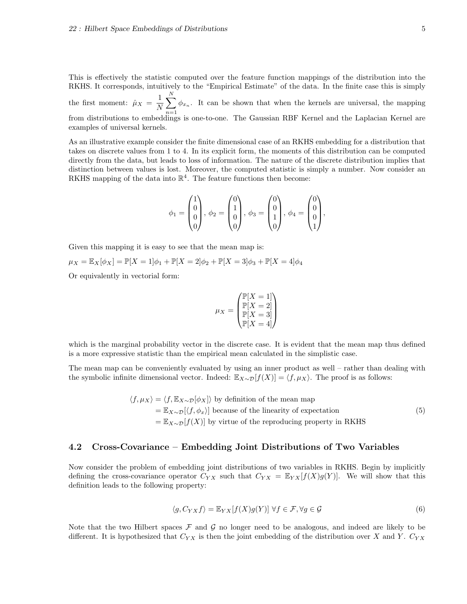This is effectively the statistic computed over the feature function mappings of the distribution into the RKHS. It corresponds, intuitively to the "Empirical Estimate" of the data. In the finite case this is simply the first moment:  $\hat{\mu}_X = \frac{1}{N}$ N  $\sum_{i=1}^{N}$  $n=1$  $\phi_{x_n}$ . It can be shown that when the kernels are universal, the mapping from distributions to embeddings is one-to-one. The Gaussian RBF Kernel and the Laplacian Kernel are examples of universal kernels.

As an illustrative example consider the finite dimensional case of an RKHS embedding for a distribution that takes on discrete values from 1 to 4. In its explicit form, the moments of this distribution can be computed directly from the data, but leads to loss of information. The nature of the discrete distribution implies that distinction between values is lost. Moreover, the computed statistic is simply a number. Now consider an RKHS mapping of the data into  $\mathbb{R}^4$ . The feature functions then become:

$$
\phi_1 = \begin{pmatrix} 1 \\ 0 \\ 0 \\ 0 \end{pmatrix}, \phi_2 = \begin{pmatrix} 0 \\ 1 \\ 0 \\ 0 \end{pmatrix}, \phi_3 = \begin{pmatrix} 0 \\ 0 \\ 1 \\ 0 \end{pmatrix}, \phi_4 = \begin{pmatrix} 0 \\ 0 \\ 0 \\ 1 \end{pmatrix},
$$

Given this mapping it is easy to see that the mean map is:

 $\mu_X = \mathbb{E}_X[\phi_X] = \mathbb{P}[X = 1]\phi_1 + \mathbb{P}[X = 2]\phi_2 + \mathbb{P}[X = 3]\phi_3 + \mathbb{P}[X = 4]\phi_4$ 

Or equivalently in vectorial form:

$$
\mu_X = \begin{pmatrix} \mathbb{P}[X=1] \\ \mathbb{P}[X=2] \\ \mathbb{P}[X=3] \\ \mathbb{P}[X=4] \end{pmatrix}
$$

which is the marginal probability vector in the discrete case. It is evident that the mean map thus defined is a more expressive statistic than the empirical mean calculated in the simplistic case.

The mean map can be conveniently evaluated by using an inner product as well – rather than dealing with the symbolic infinite dimensional vector. Indeed:  $\mathbb{E}_{X \sim \mathcal{D}}[f(X)] = \langle f, \mu_X \rangle$ . The proof is as follows:

> $\langle f, \mu_X \rangle = \langle f, \mathbb{E}_{X \sim \mathcal{D}}[\phi_X] \rangle$  by definition of the mean map  $=\mathbb{E}_{X\sim\mathcal{D}}[\langle f,\phi_x\rangle]$  because of the linearity of expectation  $=\mathbb{E}_{X\sim\mathcal{D}}[f(X)]$  by virtue of the reproducing property in RKHS (5)

### 4.2 Cross-Covariance – Embedding Joint Distributions of Two Variables

Now consider the problem of embedding joint distributions of two variables in RKHS. Begin by implicitly defining the cross-covariance operator  $C_{YX}$  such that  $C_{YX} = \mathbb{E}_{YX}[f(X)g(Y)]$ . We will show that this definition leads to the following property:

$$
\langle g, C_{YX} f \rangle = \mathbb{E}_{YX} [f(X)g(Y)] \,\,\forall f \in \mathcal{F}, \forall g \in \mathcal{G}
$$
\n
$$
(6)
$$

Note that the two Hilbert spaces  $\mathcal F$  and  $\mathcal G$  no longer need to be analogous, and indeed are likely to be different. It is hypothesized that  $C_{YX}$  is then the joint embedding of the distribution over X and Y.  $C_{YX}$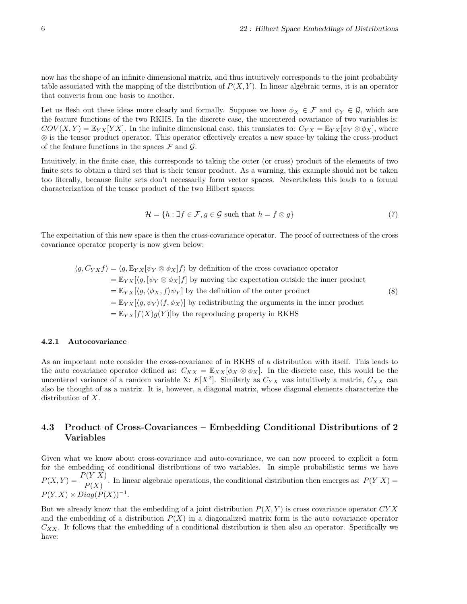now has the shape of an infinite dimensional matrix, and thus intuitively corresponds to the joint probability table associated with the mapping of the distribution of  $P(X, Y)$ . In linear algebraic terms, it is an operator that converts from one basis to another.

Let us flesh out these ideas more clearly and formally. Suppose we have  $\phi_X \in \mathcal{F}$  and  $\psi_Y \in \mathcal{G}$ , which are the feature functions of the two RKHS. In the discrete case, the uncentered covariance of two variables is:  $COV(X, Y) = \mathbb{E}_{YX}[YX]$ . In the infinite dimensional case, this translates to:  $C_{YX} = \mathbb{E}_{YX}[\psi_Y \otimes \phi_X]$ , where ⊗ is the tensor product operator. This operator effectively creates a new space by taking the cross-product of the feature functions in the spaces  $\mathcal F$  and  $\mathcal G$ .

Intuitively, in the finite case, this corresponds to taking the outer (or cross) product of the elements of two finite sets to obtain a third set that is their tensor product. As a warning, this example should not be taken too literally, because finite sets don't necessarily form vector spaces. Nevertheless this leads to a formal characterization of the tensor product of the two Hilbert spaces:

$$
\mathcal{H} = \{ h : \exists f \in \mathcal{F}, g \in \mathcal{G} \text{ such that } h = f \otimes g \} \tag{7}
$$

The expectation of this new space is then the cross-covariance operator. The proof of correctness of the cross covariance operator property is now given below:

$$
\langle g, C_{YX} f \rangle = \langle g, \mathbb{E}_{YX} [\psi_Y \otimes \phi_X] f \rangle
$$
 by definition of the cross covariance operator  
\n
$$
= \mathbb{E}_{YX} [\langle g, [\psi_Y \otimes \phi_X] f] \text{ by moving the expectation outside the inner product}
$$
\n
$$
= \mathbb{E}_{YX} [\langle g, \langle \phi_X, f \rangle \psi_Y] \text{ by the definition of the outer product}
$$
\n
$$
= \mathbb{E}_{YX} [\langle g, \psi_Y \rangle \langle f, \phi_X \rangle] \text{ by redistributing the arguments in the inner product}
$$
\n
$$
= \mathbb{E}_{YX} [f(X)g(Y)] \text{by the reproducing property in RKHS}
$$
\n(8)

#### 4.2.1 Autocovariance

As an important note consider the cross-covariance of in RKHS of a distribution with itself. This leads to the auto covariance operator defined as:  $C_{XX} = \mathbb{E}_{XX}[\phi_X \otimes \phi_X]$ . In the discrete case, this would be the uncentered variance of a random variable X:  $E[X^2]$ . Similarly as  $C_{YX}$  was intuitively a matrix,  $C_{XX}$  can also be thought of as a matrix. It is, however, a diagonal matrix, whose diagonal elements characterize the distribution of X.

### 4.3 Product of Cross-Covariances – Embedding Conditional Distributions of 2 Variables

Given what we know about cross-covariance and auto-covariance, we can now proceed to explicit a form for the embedding of conditional distributions of two variables. In simple probabilistic terms we have  $P(X,Y) = \frac{P(Y|X)}{P(X)}$ . In linear algebraic operations, the conditional distribution then emerges as:  $P(Y|X) =$  $P(Y, X) \times Diag(P(X))^{-1}.$ 

But we already know that the embedding of a joint distribution  $P(X, Y)$  is cross covariance operator  $CYX$ and the embedding of a distribution  $P(X)$  in a diagonalized matrix form is the auto covariance operator  $C_{XX}$ . It follows that the embedding of a conditional distribution is then also an operator. Specifically we have: